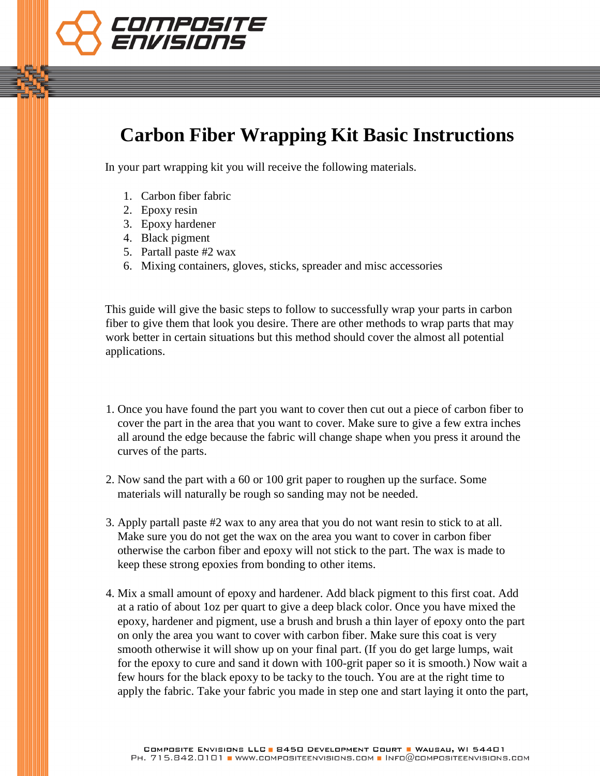

## **Carbon Fiber Wrapping Kit Basic Instructions**

In your part wrapping kit you will receive the following materials.

- 1. Carbon fiber fabric
- 2. Epoxy resin
- 3. Epoxy hardener
- 4. Black pigment
- 5. Partall paste #2 wax
- 6. Mixing containers, gloves, sticks, spreader and misc accessories

This guide will give the basic steps to follow to successfully wrap your parts in carbon fiber to give them that look you desire. There are other methods to wrap parts that may work better in certain situations but this method should cover the almost all potential applications.

- 1. Once you have found the part you want to cover then cut out a piece of carbon fiber to cover the part in the area that you want to cover. Make sure to give a few extra inches all around the edge because the fabric will change shape when you press it around the curves of the parts.
- 2. Now sand the part with a 60 or 100 grit paper to roughen up the surface. Some materials will naturally be rough so sanding may not be needed.
- 3. Apply partall paste #2 wax to any area that you do not want resin to stick to at all. Make sure you do not get the wax on the area you want to cover in carbon fiber otherwise the carbon fiber and epoxy will not stick to the part. The wax is made to keep these strong epoxies from bonding to other items.
- 4. Mix a small amount of epoxy and hardener. Add black pigment to this first coat. Add epoxy, hardener and pigment, use a brush and brush a thin layer of epoxy onto the part on only the area you want to cover with carbon fiber. Make sure this coat is very smooth otherwise it will show up on your final part. (If you do get large lumps, wait for the epoxy to cure and sand it down with 100-grit paper so it is smooth.) Now wait a few hours for the black epoxy to be tacky to the touch. You are at the right time to apply the fabric. Take your fabric you made in step one and start laying it onto the part, at a ratio of about 1oz per quart to give a deep black color. Once you have mixed the